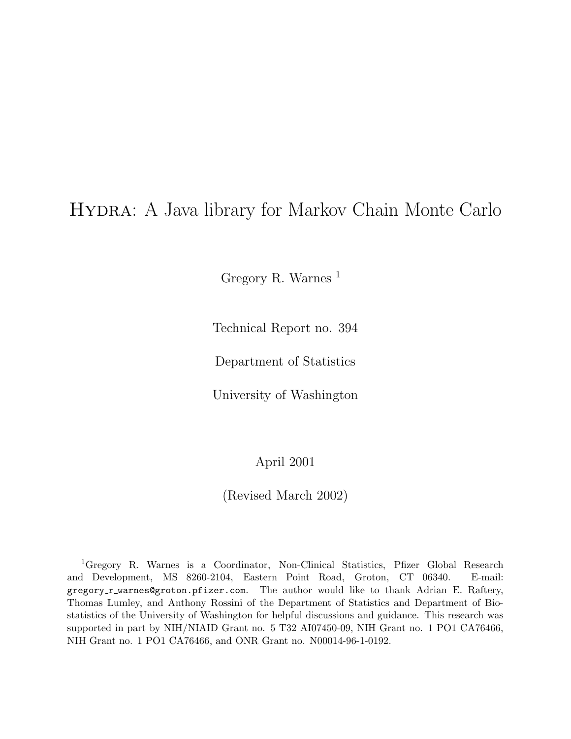# Hydra: A Java library for Markov Chain Monte Carlo

Gregory R. Warnes <sup>1</sup>

Technical Report no. 394

Department of Statistics

University of Washington

April 2001

(Revised March 2002)

<sup>1</sup>Gregory R. Warnes is a Coordinator, Non-Clinical Statistics, Pfizer Global Research and Development, MS 8260-2104, Eastern Point Road, Groton, CT 06340. E-mail: gregory\_r\_warnes@groton.pfizer.com. The author would like to thank Adrian E. Raftery, Thomas Lumley, and Anthony Rossini of the Department of Statistics and Department of Biostatistics of the University of Washington for helpful discussions and guidance. This research was supported in part by NIH/NIAID Grant no. 5 T32 AI07450-09, NIH Grant no. 1 PO1 CA76466, NIH Grant no. 1 PO1 CA76466, and ONR Grant no. N00014-96-1-0192.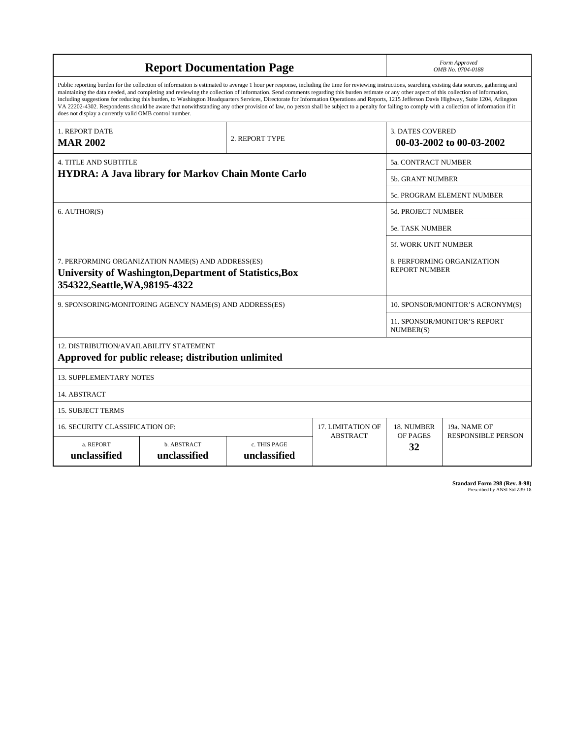|                                                        | <b>Report Documentation Page</b>                                                                                                                                                                                                                                                                                                                                                                                                                                                                                                                                                                                                                                                                                                                                                                         |                              |                          |                             | Form Approved<br>OMB No. 0704-0188  |
|--------------------------------------------------------|----------------------------------------------------------------------------------------------------------------------------------------------------------------------------------------------------------------------------------------------------------------------------------------------------------------------------------------------------------------------------------------------------------------------------------------------------------------------------------------------------------------------------------------------------------------------------------------------------------------------------------------------------------------------------------------------------------------------------------------------------------------------------------------------------------|------------------------------|--------------------------|-----------------------------|-------------------------------------|
| does not display a currently valid OMB control number. | Public reporting burden for the collection of information is estimated to average 1 hour per response, including the time for reviewing instructions, searching existing data sources, gathering and<br>maintaining the data needed, and completing and reviewing the collection of information. Send comments regarding this burden estimate or any other aspect of this collection of information,<br>including suggestions for reducing this burden, to Washington Headquarters Services, Directorate for Information Operations and Reports, 1215 Jefferson Davis Highway, Suite 1204, Arlington<br>VA 22202-4302. Respondents should be aware that notwithstanding any other provision of law, no person shall be subject to a penalty for failing to comply with a collection of information if it |                              |                          |                             |                                     |
| 1. REPORT DATE<br><b>MAR 2002</b>                      |                                                                                                                                                                                                                                                                                                                                                                                                                                                                                                                                                                                                                                                                                                                                                                                                          | 2. REPORT TYPE               |                          | <b>3. DATES COVERED</b>     | 00-03-2002 to 00-03-2002            |
| <b>4. TITLE AND SUBTITLE</b>                           |                                                                                                                                                                                                                                                                                                                                                                                                                                                                                                                                                                                                                                                                                                                                                                                                          |                              |                          | <b>5a. CONTRACT NUMBER</b>  |                                     |
|                                                        | <b>HYDRA: A Java library for Markov Chain Monte Carlo</b>                                                                                                                                                                                                                                                                                                                                                                                                                                                                                                                                                                                                                                                                                                                                                |                              |                          | <b>5b. GRANT NUMBER</b>     |                                     |
|                                                        |                                                                                                                                                                                                                                                                                                                                                                                                                                                                                                                                                                                                                                                                                                                                                                                                          |                              |                          |                             | 5c. PROGRAM ELEMENT NUMBER          |
| 6. AUTHOR(S)                                           |                                                                                                                                                                                                                                                                                                                                                                                                                                                                                                                                                                                                                                                                                                                                                                                                          |                              |                          | <b>5d. PROJECT NUMBER</b>   |                                     |
|                                                        |                                                                                                                                                                                                                                                                                                                                                                                                                                                                                                                                                                                                                                                                                                                                                                                                          |                              |                          | <b>5e. TASK NUMBER</b>      |                                     |
|                                                        |                                                                                                                                                                                                                                                                                                                                                                                                                                                                                                                                                                                                                                                                                                                                                                                                          |                              |                          | <b>5f. WORK UNIT NUMBER</b> |                                     |
| 354322, Seattle, WA, 98195-4322                        | 7. PERFORMING ORGANIZATION NAME(S) AND ADDRESS(ES)<br>University of Washington, Department of Statistics, Box                                                                                                                                                                                                                                                                                                                                                                                                                                                                                                                                                                                                                                                                                            |                              |                          | <b>REPORT NUMBER</b>        | 8. PERFORMING ORGANIZATION          |
|                                                        | 9. SPONSORING/MONITORING AGENCY NAME(S) AND ADDRESS(ES)                                                                                                                                                                                                                                                                                                                                                                                                                                                                                                                                                                                                                                                                                                                                                  |                              |                          |                             | 10. SPONSOR/MONITOR'S ACRONYM(S)    |
|                                                        |                                                                                                                                                                                                                                                                                                                                                                                                                                                                                                                                                                                                                                                                                                                                                                                                          |                              |                          | NUMBER(S)                   | <b>11. SPONSOR/MONITOR'S REPORT</b> |
| 12. DISTRIBUTION/AVAILABILITY STATEMENT                | Approved for public release; distribution unlimited                                                                                                                                                                                                                                                                                                                                                                                                                                                                                                                                                                                                                                                                                                                                                      |                              |                          |                             |                                     |
| <b>13. SUPPLEMENTARY NOTES</b>                         |                                                                                                                                                                                                                                                                                                                                                                                                                                                                                                                                                                                                                                                                                                                                                                                                          |                              |                          |                             |                                     |
| 14. ABSTRACT                                           |                                                                                                                                                                                                                                                                                                                                                                                                                                                                                                                                                                                                                                                                                                                                                                                                          |                              |                          |                             |                                     |
| <b>15. SUBJECT TERMS</b>                               |                                                                                                                                                                                                                                                                                                                                                                                                                                                                                                                                                                                                                                                                                                                                                                                                          |                              |                          |                             |                                     |
| <b>16. SECURITY CLASSIFICATION OF:</b>                 |                                                                                                                                                                                                                                                                                                                                                                                                                                                                                                                                                                                                                                                                                                                                                                                                          |                              | <b>17. LIMITATION OF</b> | 18. NUMBER                  | 19a. NAME OF                        |
| a. REPORT<br>unclassified                              | b. ABSTRACT<br>unclassified                                                                                                                                                                                                                                                                                                                                                                                                                                                                                                                                                                                                                                                                                                                                                                              | c. THIS PAGE<br>unclassified | <b>ABSTRACT</b>          | OF PAGES<br>32              | <b>RESPONSIBLE PERSON</b>           |

**Standard Form 298 (Rev. 8-98)**<br>Prescribed by ANSI Std Z39-18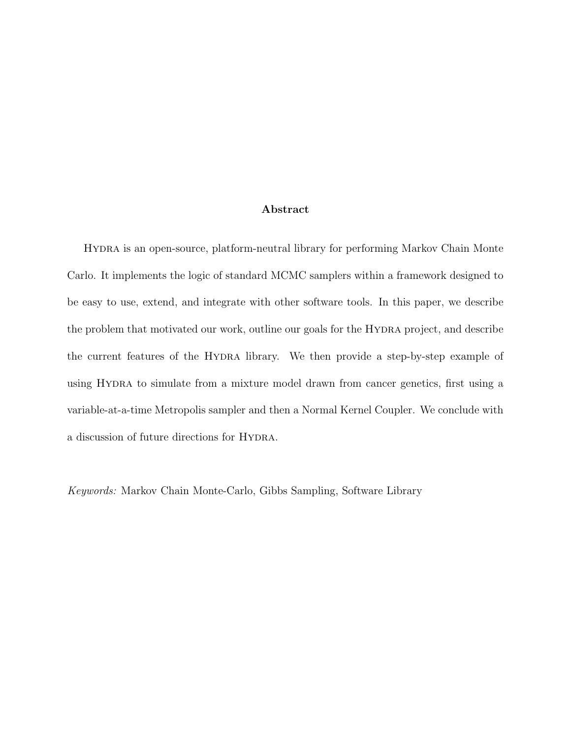#### Abstract

Hydra is an open-source, platform-neutral library for performing Markov Chain Monte Carlo. It implements the logic of standard MCMC samplers within a framework designed to be easy to use, extend, and integrate with other software tools. In this paper, we describe the problem that motivated our work, outline our goals for the Hydra project, and describe the current features of the HYDRA library. We then provide a step-by-step example of using Hydra to simulate from a mixture model drawn from cancer genetics, first using a variable-at-a-time Metropolis sampler and then a Normal Kernel Coupler. We conclude with a discussion of future directions for HYDRA.

Keywords: Markov Chain Monte-Carlo, Gibbs Sampling, Software Library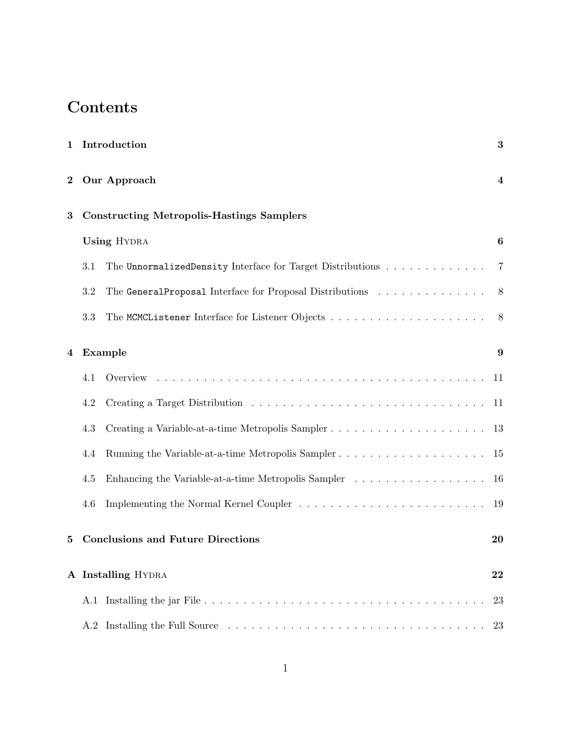# Contents

| $\mathbf{1}$ |         | Introduction                                               | $\bf{3}$ |
|--------------|---------|------------------------------------------------------------|----------|
| $\bf{2}$     |         | Our Approach                                               | 4        |
| 3            |         | <b>Constructing Metropolis-Hastings Samplers</b>           |          |
|              |         | <b>Using HYDRA</b>                                         | 6        |
|              | 3.1     | The UnnormalizedDensity Interface for Target Distributions | 7        |
|              | 3.2     | The GeneralProposal Interface for Proposal Distributions   | 8        |
|              | 3.3     |                                                            | 8        |
| 4            |         | Example                                                    | 9        |
|              | 4.1     |                                                            | -11      |
|              | $4.2\,$ |                                                            | 11       |
|              | 4.3     |                                                            | 13       |
|              | 4.4     |                                                            | 15       |
|              | 4.5     | Enhancing the Variable-at-a-time Metropolis Sampler        | 16       |
|              | 4.6     | Implementing the Normal Kernel Coupler                     | 19       |
| 5            |         | <b>Conclusions and Future Directions</b>                   | 20       |
|              |         | A Installing HYDRA                                         | 22       |
|              | A.1     |                                                            | 23       |
|              | A.2     |                                                            | 23       |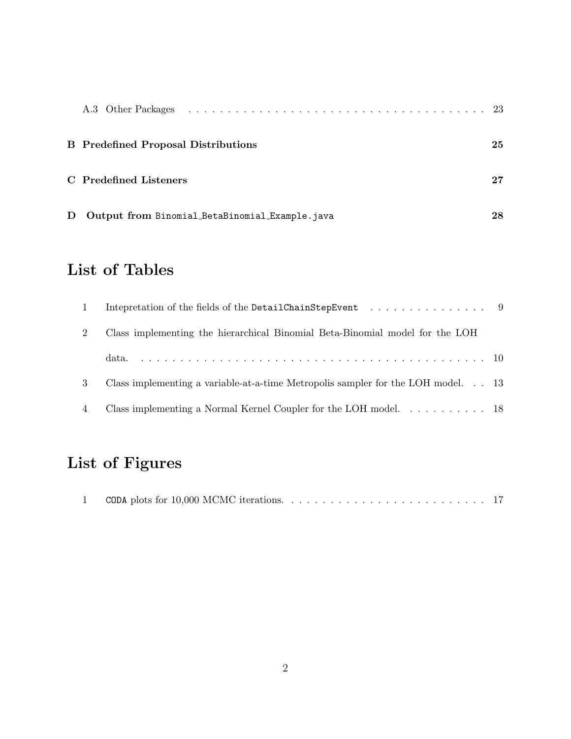|   | <b>B</b> Predefined Proposal Distributions     | 25 |
|---|------------------------------------------------|----|
|   | C Predefined Listeners                         | 27 |
| D | Output from Binomial_BetaBinomial_Example.java | 28 |

# List of Tables

| $\overline{1}$ | Intepretation of the fields of the DetailChainStepEvent 9                            |  |
|----------------|--------------------------------------------------------------------------------------|--|
| $\overline{2}$ | Class implementing the hierarchical Binomial Beta-Binomial model for the LOH         |  |
|                | data.                                                                                |  |
| 3              | Class implementing a variable-at-a-time Metropolis sampler for the LOH model. 13     |  |
| $\overline{4}$ | Class implementing a Normal Kernel Coupler for the LOH model. $\dots \dots \dots$ 18 |  |

# List of Figures

|--|--|--|--|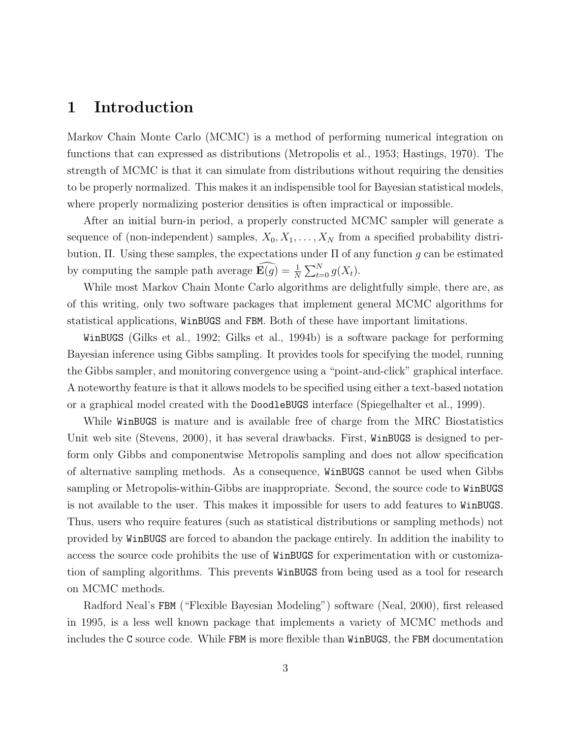## 1 Introduction

Markov Chain Monte Carlo (MCMC) is a method of performing numerical integration on functions that can expressed as distributions (Metropolis et al., 1953; Hastings, 1970). The strength of MCMC is that it can simulate from distributions without requiring the densities to be properly normalized. This makes it an indispensible tool for Bayesian statistical models, where properly normalizing posterior densities is often impractical or impossible.

After an initial burn-in period, a properly constructed MCMC sampler will generate a sequence of (non-independent) samples,  $X_0, X_1, \ldots, X_N$  from a specified probability distribution,  $\Pi$ . Using these samples, the expectations under  $\Pi$  of any function g can be estimated by computing the sample path average  $\widehat{\mathbf{E}(g)} = \frac{1}{N} \sum_{t=0}^{N} g(X_t)$ .

While most Markov Chain Monte Carlo algorithms are delightfully simple, there are, as of this writing, only two software packages that implement general MCMC algorithms for statistical applications, WinBUGS and FBM. Both of these have important limitations.

WinBUGS (Gilks et al., 1992; Gilks et al., 1994b) is a software package for performing Bayesian inference using Gibbs sampling. It provides tools for specifying the model, running the Gibbs sampler, and monitoring convergence using a "point-and-click" graphical interface. A noteworthy feature is that it allows models to be specified using either a text-based notation or a graphical model created with the DoodleBUGS interface (Spiegelhalter et al., 1999).

While WinBUGS is mature and is available free of charge from the MRC Biostatistics Unit web site (Stevens, 2000), it has several drawbacks. First, WinBUGS is designed to perform only Gibbs and componentwise Metropolis sampling and does not allow specification of alternative sampling methods. As a consequence, WinBUGS cannot be used when Gibbs sampling or Metropolis-within-Gibbs are inappropriate. Second, the source code to WinBUGS is not available to the user. This makes it impossible for users to add features to WinBUGS. Thus, users who require features (such as statistical distributions or sampling methods) not provided by WinBUGS are forced to abandon the package entirely. In addition the inability to access the source code prohibits the use of WinBUGS for experimentation with or customization of sampling algorithms. This prevents WinBUGS from being used as a tool for research on MCMC methods.

Radford Neal's FBM ("Flexible Bayesian Modeling") software (Neal, 2000), first released in 1995, is a less well known package that implements a variety of MCMC methods and includes the C source code. While FBM is more flexible than WinBUGS, the FBM documentation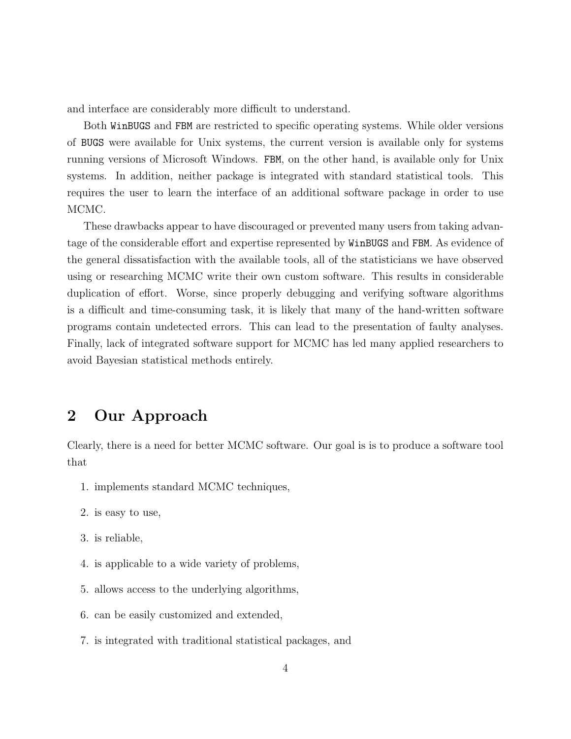and interface are considerably more difficult to understand.

Both WinBUGS and FBM are restricted to specific operating systems. While older versions of BUGS were available for Unix systems, the current version is available only for systems running versions of Microsoft Windows. FBM, on the other hand, is available only for Unix systems. In addition, neither package is integrated with standard statistical tools. This requires the user to learn the interface of an additional software package in order to use MCMC.

These drawbacks appear to have discouraged or prevented many users from taking advantage of the considerable effort and expertise represented by WinBUGS and FBM. As evidence of the general dissatisfaction with the available tools, all of the statisticians we have observed using or researching MCMC write their own custom software. This results in considerable duplication of effort. Worse, since properly debugging and verifying software algorithms is a difficult and time-consuming task, it is likely that many of the hand-written software programs contain undetected errors. This can lead to the presentation of faulty analyses. Finally, lack of integrated software support for MCMC has led many applied researchers to avoid Bayesian statistical methods entirely.

## 2 Our Approach

Clearly, there is a need for better MCMC software. Our goal is is to produce a software tool that

- 1. implements standard MCMC techniques,
- 2. is easy to use,
- 3. is reliable,
- 4. is applicable to a wide variety of problems,
- 5. allows access to the underlying algorithms,
- 6. can be easily customized and extended,
- 7. is integrated with traditional statistical packages, and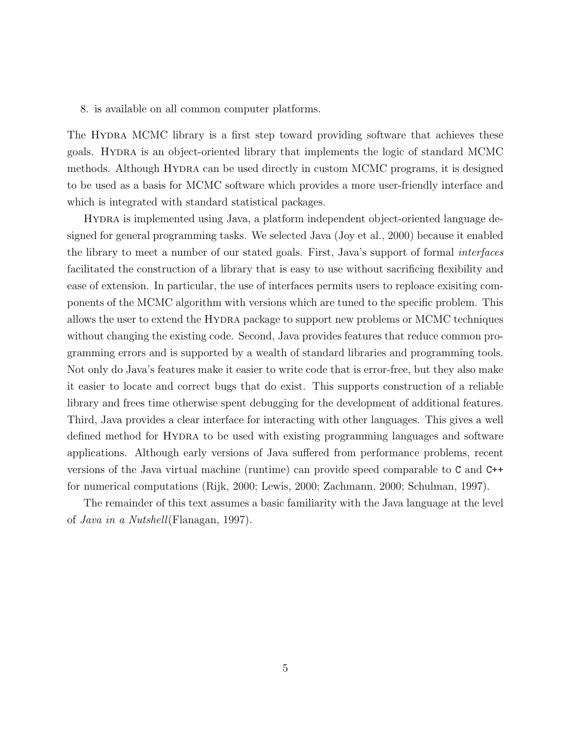#### 8. is available on all common computer platforms.

The HYDRA MCMC library is a first step toward providing software that achieves these goals. Hydra is an object-oriented library that implements the logic of standard MCMC methods. Although HYDRA can be used directly in custom MCMC programs, it is designed to be used as a basis for MCMC software which provides a more user-friendly interface and which is integrated with standard statistical packages.

Hydra is implemented using Java, a platform independent object-oriented language designed for general programming tasks. We selected Java (Joy et al., 2000) because it enabled the library to meet a number of our stated goals. First, Java's support of formal interfaces facilitated the construction of a library that is easy to use without sacrificing flexibility and ease of extension. In particular, the use of interfaces permits users to reploace exisiting components of the MCMC algorithm with versions which are tuned to the specific problem. This allows the user to extend the Hydra package to support new problems or MCMC techniques without changing the existing code. Second, Java provides features that reduce common programming errors and is supported by a wealth of standard libraries and programming tools. Not only do Java's features make it easier to write code that is error-free, but they also make it easier to locate and correct bugs that do exist. This supports construction of a reliable library and frees time otherwise spent debugging for the development of additional features. Third, Java provides a clear interface for interacting with other languages. This gives a well defined method for HYDRA to be used with existing programming languages and software applications. Although early versions of Java suffered from performance problems, recent versions of the Java virtual machine (runtime) can provide speed comparable to C and C++ for numerical computations (Rijk, 2000; Lewis, 2000; Zachmann, 2000; Schulman, 1997).

The remainder of this text assumes a basic familiarity with the Java language at the level of Java in a Nutshell(Flanagan, 1997).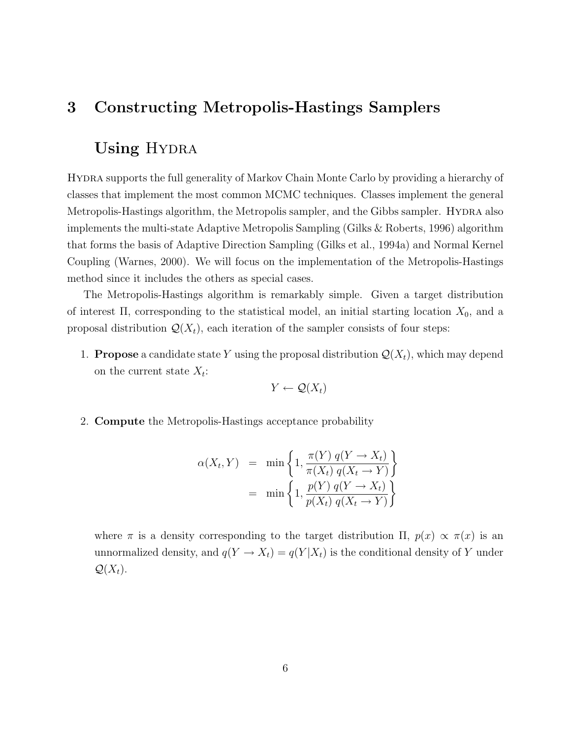## 3 Constructing Metropolis-Hastings Samplers

## Using HYDRA

Hydra supports the full generality of Markov Chain Monte Carlo by providing a hierarchy of classes that implement the most common MCMC techniques. Classes implement the general Metropolis-Hastings algorithm, the Metropolis sampler, and the Gibbs sampler. HYDRA also implements the multi-state Adaptive Metropolis Sampling (Gilks & Roberts, 1996) algorithm that forms the basis of Adaptive Direction Sampling (Gilks et al., 1994a) and Normal Kernel Coupling (Warnes, 2000). We will focus on the implementation of the Metropolis-Hastings method since it includes the others as special cases.

The Metropolis-Hastings algorithm is remarkably simple. Given a target distribution of interest  $\Pi$ , corresponding to the statistical model, an initial starting location  $X_0$ , and a proposal distribution  $\mathcal{Q}(X_t)$ , each iteration of the sampler consists of four steps:

1. **Propose** a candidate state Y using the proposal distribution  $\mathcal{Q}(X_t)$ , which may depend on the current state  $X_t$ :

$$
Y \leftarrow \mathcal{Q}(X_t)
$$

2. Compute the Metropolis-Hastings acceptance probability

$$
\alpha(X_t, Y) = \min\left\{1, \frac{\pi(Y) q(Y \to X_t)}{\pi(X_t) q(X_t \to Y)}\right\}
$$

$$
= \min\left\{1, \frac{p(Y) q(Y \to X_t)}{p(X_t) q(X_t \to Y)}\right\}
$$

where  $\pi$  is a density corresponding to the target distribution  $\Pi$ ,  $p(x) \propto \pi(x)$  is an unnormalized density, and  $q(Y \to X_t) = q(Y|X_t)$  is the conditional density of Y under  $\mathcal{Q}(X_t)$ .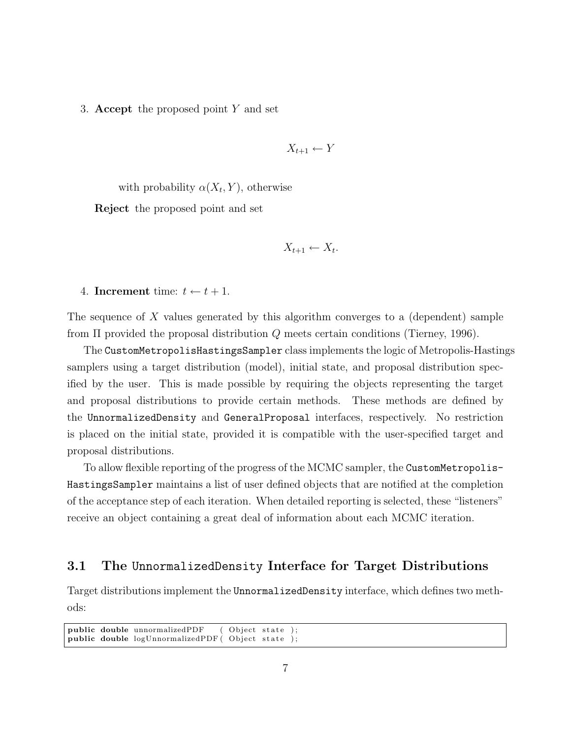3. Accept the proposed point Y and set

$$
X_{t+1} \leftarrow Y
$$

with probability  $\alpha(X_t, Y)$ , otherwise

Reject the proposed point and set

$$
X_{t+1} \leftarrow X_t.
$$

4. Increment time:  $t \leftarrow t + 1$ .

The sequence of X values generated by this algorithm converges to a (dependent) sample from Π provided the proposal distribution Q meets certain conditions (Tierney, 1996).

The CustomMetropolisHastingsSampler class implements the logic of Metropolis-Hastings samplers using a target distribution (model), initial state, and proposal distribution specified by the user. This is made possible by requiring the objects representing the target and proposal distributions to provide certain methods. These methods are defined by the UnnormalizedDensity and GeneralProposal interfaces, respectively. No restriction is placed on the initial state, provided it is compatible with the user-specified target and proposal distributions.

To allow flexible reporting of the progress of the MCMC sampler, the CustomMetropolis-HastingsSampler maintains a list of user defined objects that are notified at the completion of the acceptance step of each iteration. When detailed reporting is selected, these "listeners" receive an object containing a great deal of information about each MCMC iteration.

#### 3.1 The UnnormalizedDensity Interface for Target Distributions

Target distributions implement the UnnormalizedDensity interface, which defines two methods:

public double unnormalizedPDF (Object state );<br>public double logUnnormalizedPDF(Object state ); public double logUnnormalizedPDF (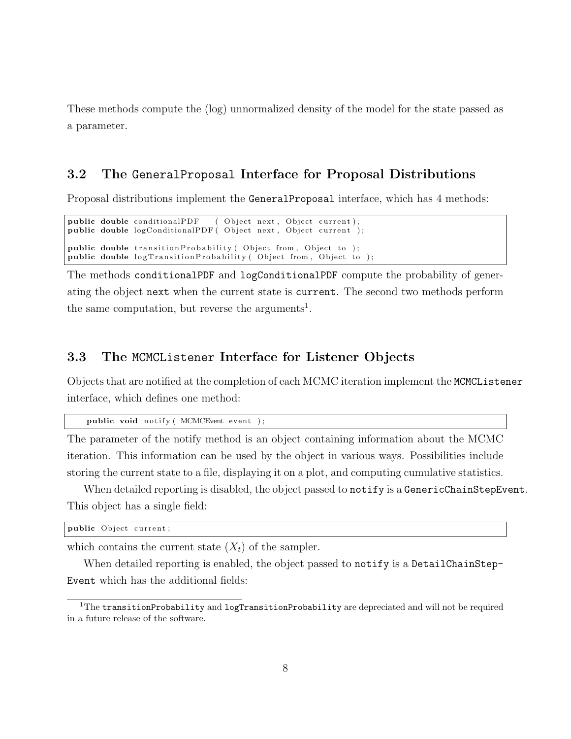These methods compute the (log) unnormalized density of the model for the state passed as a parameter.

#### 3.2 The GeneralProposal Interface for Proposal Distributions

Proposal distributions implement the GeneralProposal interface, which has 4 methods:

```
public double conditionalPDF ( Object next, Object current);
public double logConditionalPDF ( Object next, Object current );
public double transition Probability (Object from, Object to);
public double logTransitionProbability (Object from, Object to);
```
The methods conditionalPDF and logConditionalPDF compute the probability of generating the object next when the current state is current. The second two methods perform the same computation, but reverse the arguments<sup>1</sup>.

#### 3.3 The MCMCListener Interface for Listener Objects

Objects that are notified at the completion of each MCMC iteration implement the MCMCListener interface, which defines one method:

```
public void notify (MCMCEvent event );
```
The parameter of the notify method is an object containing information about the MCMC iteration. This information can be used by the object in various ways. Possibilities include storing the current state to a file, displaying it on a plot, and computing cumulative statistics.

When detailed reporting is disabled, the object passed to notify is a GenericChainStepEvent. This object has a single field:

public Object current;

which contains the current state  $(X_t)$  of the sampler.

When detailed reporting is enabled, the object passed to notify is a DetailChainStep-Event which has the additional fields:

 $1$ The transitionProbability and logTransitionProbability are depreciated and will not be required in a future release of the software.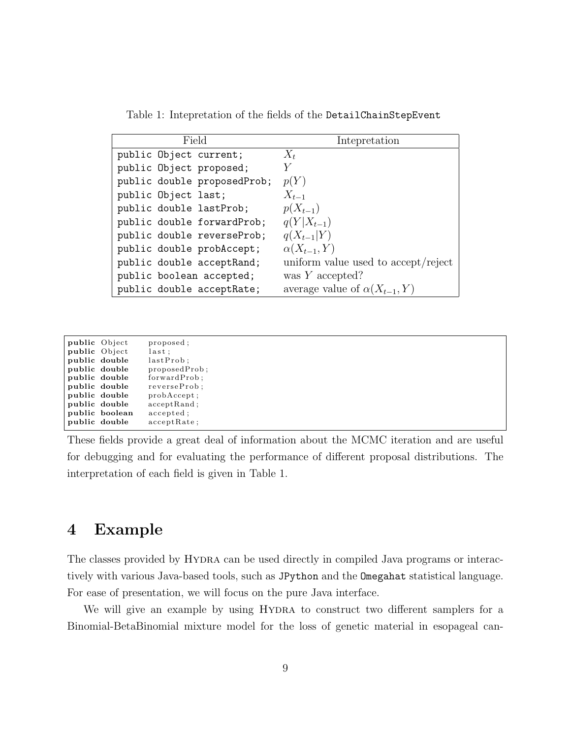Table 1: Intepretation of the fields of the DetailChainStepEvent

| Field                       | Intepretation                         |
|-----------------------------|---------------------------------------|
| public Object current;      | $X_t$                                 |
| public Object proposed;     |                                       |
| public double proposedProb; | p(Y)                                  |
| public Object last;         | $X_{t-1}$                             |
| public double lastProb;     | $p(X_{t-1})$                          |
| public double forwardProb;  | $q(Y X_{t-1})$                        |
| public double reverseProb;  | $q(X_{t-1} Y)$                        |
| public double probAccept;   | $\alpha(X_{t-1}, Y)$                  |
| public double acceptRand;   | uniform value used to accept/reject   |
| public boolean accepted;    | was $Y$ accepted?                     |
| public double acceptRate;   | average value of $\alpha(X_{t-1}, Y)$ |

| public Object |                | proposed:      |
|---------------|----------------|----------------|
| public Object |                | last :         |
|               | public double  | lastProb:      |
|               | public double  | proposedProb;  |
|               | public double  | forwardProb;   |
|               | public double  | reverseProb;   |
|               | public double  | probAccept:    |
|               | public double  | acceptRand;    |
|               | public boolean | accepted:      |
|               | public double  | $acceptRate$ : |

These fields provide a great deal of information about the MCMC iteration and are useful for debugging and for evaluating the performance of different proposal distributions. The interpretation of each field is given in Table 1.

## 4 Example

The classes provided by Hydra can be used directly in compiled Java programs or interactively with various Java-based tools, such as JPython and the Omegahat statistical language. For ease of presentation, we will focus on the pure Java interface.

We will give an example by using HYDRA to construct two different samplers for a Binomial-BetaBinomial mixture model for the loss of genetic material in esopageal can-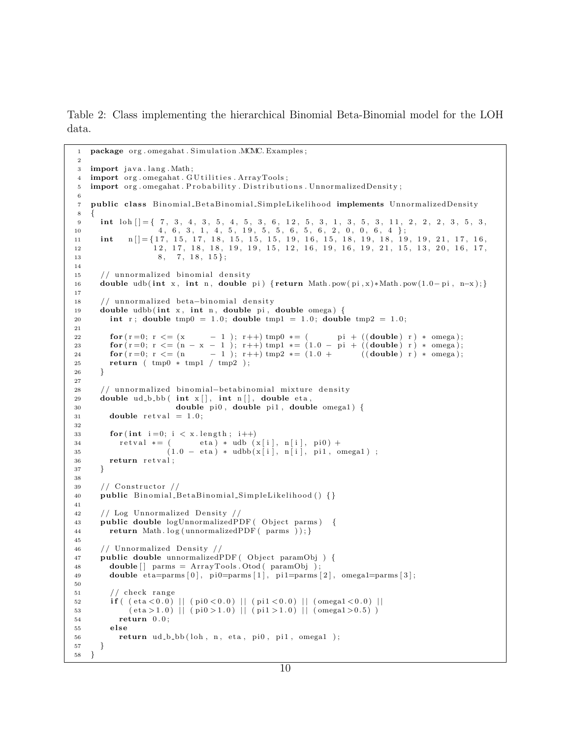Table 2: Class implementing the hierarchical Binomial Beta-Binomial model for the LOH data.

```
1 package org.omegahat. Simulation .MCMC. Examples;
2
3 import java.lang. Math;
4 import org.omegahat. GU tilities. ArrayTools;
5 import org. omegahat. Probability. Distributions. UnnormalizedDensity;
6
7 public class Binomial_BetaBinomial_SimpleLikelihood implements UnnormalizedDensity
8 {
 9 int loh [ = { 7, 3, 4, 3, 5, 4, 5, 3, 6, 12, 5, 3, 1, 3, 5, 3, 11, 2, 2, 2, 3, 5, 3,
10 4, 6, 3, 1, 4, 5, 19, 5, 5, 6, 5, 6, 2, 0, 0, 6, 4 };
10 4, 6, 3, 1, 4, 5, 19, 5, 5, 6, 5, 6, 2, 0, 0, 6, 4 };<br>11 int n[] = \{17, 15, 17, 18, 15, 15, 15, 19, 16, 15, 18, 19, 18, 19, 19, 21, 17, 16,12 12 , 17, 18, 18, 19, 19, 15, 12, 16, 19, 16, 19, 21, 15, 13, 20, 16, 17,
13 8, 7, 18, 15;
14
15 // unnormalized binomial density
16 double udb (int x, int n, double pi) { return Math . pow (pi, x) * Math. pow(1.0-pi, n-x) ; }
17
18 // unnormalized beta-binomial density
19 double udbb (int x, int n, double pi, double omega) {
20 int r; double tmp0 = 1.0; double tmp1 = 1.0; double tmp2 = 1.0;
21
22 for (r = 0; r \leq (x - 1); r++) tmp0 * = ( pi + ((double) r) * \text{omega});
23 for (r = 0; r \le (n - x - 1); r++) tmp1 * = (1.0 - pi + ((double) r) * \omega);<br>
24 for (r = 0; r \le (n - 1); r++) tmp2 * = (1.0 + ((double) r) * \omega);
24 for (r = 0; r \leq (n - 1); r++) tmp2 * = (1.0 + ((double) r) * \text{omega});
25 return ( tmp0 ∗ tmp1 / tmp2 ) ;
26 }
27
28 // unnormalized binomial-betabinomial mixture density
29 double ud b bb (int x[], int n [], double eta,
30 double pi0, double pi1, double omega1) {
31 double retval = 1.0;
32
33 for (int i = 0; i < x. length; i++)
34 rel{x} = ( eta) * udb (x[i], n[i], pii) +
(1.0 - eta) * udbb(x[i], n[i], pii, \text{omega});
36 return retval;
37 }
38
39 // Constructor //
40 public Binomial BetaBinomial SimpleLikelihood () {}
41
42 // Log Unnormalized Density /
43 public double logUnnormalizedPDF (Object parms) {
44 return Math. log (unnormalizedPDF ( parms )); }
45
46 // Unnormalized Density //
47 public double unnormalizedPDF (Object paramObj) {
48 double [\] parms = ArrayTools . Otod ( paramObj );
49 double eta = \{ 0 \}, pi = \{ 1 \}, pi = \{ 1 \}, pi = \{ 2 \}, omega = \{ 2 \}; omega = \{ 3 \};
50
51 / / check r an ge
52 if ( (\text{eta} < 0.0) || (\text{pi0} < 0.0) || (\text{pi1} < 0.0) || (\text{omega1} < 0.0) ||
53 \text{(eta}>1.0) || \text{(pi0}>1.0) || \text{(pi1}>1.0) || \text{(omega=4}>0.5) )54 return 0.0:
55 else
56 return ud b bb (loh, n, eta, pi0, pi1, omega1);
57 }
58 }
```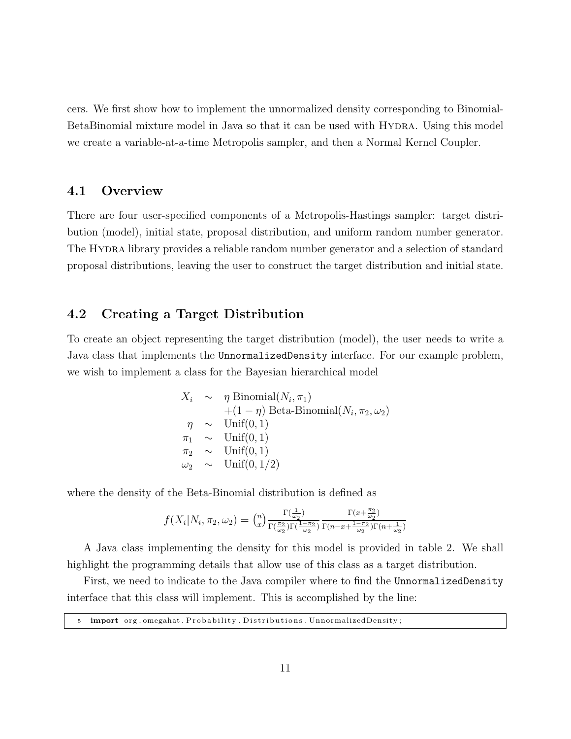cers. We first show how to implement the unnormalized density corresponding to Binomial-BetaBinomial mixture model in Java so that it can be used with HYDRA. Using this model we create a variable-at-a-time Metropolis sampler, and then a Normal Kernel Coupler.

#### 4.1 Overview

There are four user-specified components of a Metropolis-Hastings sampler: target distribution (model), initial state, proposal distribution, and uniform random number generator. The Hydra library provides a reliable random number generator and a selection of standard proposal distributions, leaving the user to construct the target distribution and initial state.

#### 4.2 Creating a Target Distribution

To create an object representing the target distribution (model), the user needs to write a Java class that implements the UnnormalizedDensity interface. For our example problem, we wish to implement a class for the Bayesian hierarchical model

$$
X_i \sim \eta \text{ Binomial}(N_i, \pi_1)
$$
  
+ (1 - \eta) Beta-Binomial(N<sub>i</sub>, \pi<sub>2</sub>, \omega<sub>2</sub>)  

$$
\eta \sim \text{Unif}(0, 1)
$$
  

$$
\pi_1 \sim \text{Unif}(0, 1)
$$
  

$$
\pi_2 \sim \text{Unif}(0, 1)
$$
  

$$
\omega_2 \sim \text{Unif}(0, 1/2)
$$

where the density of the Beta-Binomial distribution is defined as

$$
f(X_i|N_i, \pi_2, \omega_2) = \binom{n}{x} \frac{\Gamma(\frac{1}{\omega_2})}{\Gamma(\frac{\pi_2}{\omega_2})\Gamma(\frac{1-\pi_2}{\omega_2})} \frac{\Gamma(x+\frac{\pi_2}{\omega_2})}{\Gamma(n-x+\frac{1-\pi_2}{\omega_2})\Gamma(n+\frac{1}{\omega_2})}
$$

A Java class implementing the density for this model is provided in table 2. We shall highlight the programming details that allow use of this class as a target distribution.

First, we need to indicate to the Java compiler where to find the UnnormalizedDensity interface that this class will implement. This is accomplished by the line:

|  |  |  |  |  | 5 import org.omegahat. Probability. Distributions. Unnormalized Density; |
|--|--|--|--|--|--------------------------------------------------------------------------|
|--|--|--|--|--|--------------------------------------------------------------------------|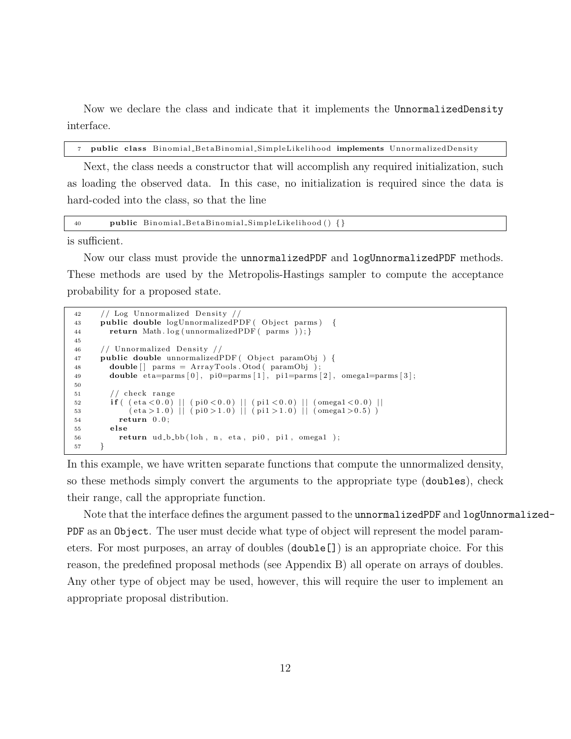Now we declare the class and indicate that it implements the UnnormalizedDensity interface.

7 public class Binomial\_BetaBinomial\_SimpleLikelihood implements UnnormalizedDensity

Next, the class needs a constructor that will accomplish any required initialization, such as loading the observed data. In this case, no initialization is required since the data is hard-coded into the class, so that the line

40 public Binomial BetaBinomial SimpleLikelihood () {}

is sufficient.

Now our class must provide the unnormalizedPDF and logUnnormalizedPDF methods. These methods are used by the Metropolis-Hastings sampler to compute the acceptance probability for a proposed state.

```
42 // Log Unnormalized Density //
43 public double logUnnormalizedPDF (Object parms) {
44 return Math. log (unnormalizedPDF ( parms )); }
45
46 // Unnormalized Density //
47 public double unnormalizedPDF (Object paramObj) {
48 double [] parms = ArrayTools . Otod ( paramObj );
49 double eta = \{ 0 \}, pi = \{ 1 \}, pi = \{ 1 \}, pi = \{ 2 \}, omega1=parms [3];
50
51 / / check r an ge
52 if ( (\text{eta} < 0.0) || (\text{pi0} < 0.0) || (\text{pi1} < 0.0) || (\text{omega1} < 0.0) ||
53 \text{(eta}>1.0) || (\text{pi}0>1.0) || (\text{pi}1>1.0) || (\text{omega}2.5)54 return 0.0:
55 else
56 return ud b bb (loh, n, eta, pi0, pi1, omegal);
57 }
```
In this example, we have written separate functions that compute the unnormalized density, so these methods simply convert the arguments to the appropriate type (doubles), check their range, call the appropriate function.

Note that the interface defines the argument passed to the unnormalizedPDF and logUnnormalized-PDF as an Object. The user must decide what type of object will represent the model parameters. For most purposes, an array of doubles (double[]) is an appropriate choice. For this reason, the predefined proposal methods (see Appendix B) all operate on arrays of doubles. Any other type of object may be used, however, this will require the user to implement an appropriate proposal distribution.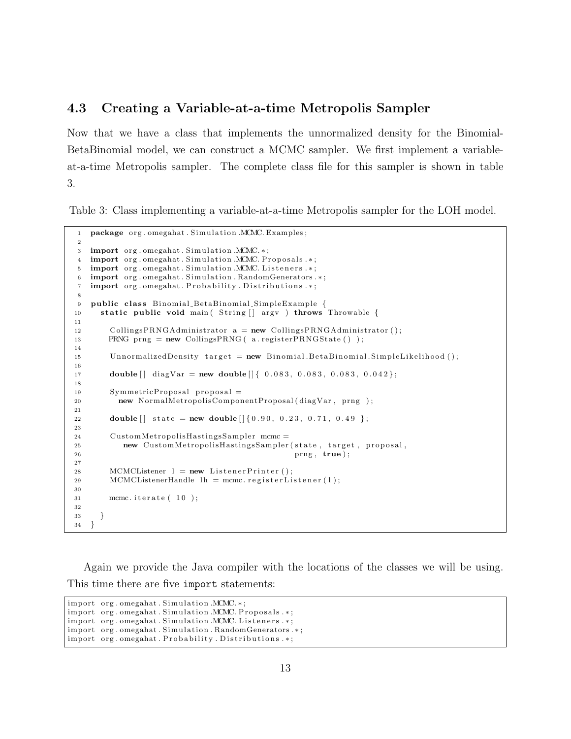#### 4.3 Creating a Variable-at-a-time Metropolis Sampler

Now that we have a class that implements the unnormalized density for the Binomial-BetaBinomial model, we can construct a MCMC sampler. We first implement a variableat-a-time Metropolis sampler. The complete class file for this sampler is shown in table 3.

Table 3: Class implementing a variable-at-a-time Metropolis sampler for the LOH model.

```
1 package org. omegahat. Simulation .MCMC. Examples;
2
3 import org.omegahat. Simulation .MCMC.*;
4 import org.omegahat. Simulation .MCMC. Proposals.*;
5 import org. omegahat. Simulation .MCMC. Listeners .*;
6 import org.omegahat. Simulation. RandomGenerators.*;
7 import org.omegahat. Probability. Distributions.*;
8
9 public class Binomial BetaBinomial SimpleExample {
10 static public void main (String | argv ) throws Throwable {
11
12 CollingsPRNGAdministrator a = new CollingsPRNGAdministrator ();
13 PRNG prng = new CollingsPRNG ( a . registerPRNGState ( ) );
14
15 UnnormalizedDensity target = new Binomial BetaBinomial SimpleLikelihood ();
16
17 double [ diagVar = new double [ { 0.083, 0.083, 0.083, 0.042 };
18
19 SymmetricProposal proposal =20 new NormalMetropolisComponentProposal ( diagVar , prng ) ;
21
22 double \begin{bmatrix} \ast & \ast & \ast \\ \ast & \ast & \ast \end{bmatrix} state = new double \begin{bmatrix} \ast & \ast & \ast & \ast \\ \ast & \ast & \ast & \ast & \ast \end{bmatrix}23
24 CustomMetropolisHastingsSampler mcmc =
25 new CustomMetropolisHastingsSampler (state, target, proposal,
26 prng , true ) ;
27
28 MCMCListener l = new Listener Printer ();
29 MCMCListenerHandle \ln = mcmc. r e g isterListener (1);
30
31 mcmc. iterate (10);
32
33 }
34 }
```
Again we provide the Java compiler with the locations of the classes we will be using. This time there are five import statements:

 $import org. \omega$  org.  $Simulation.MCMC.*;$ import org.omegahat. Simulation .MCMC. Proposals.\*; import org.omegahat. Simulation .MCMC. Listeners .\*; import org.omegahat. Simulation. RandomGenerators.\*; import org.omegahat. Probability. Distributions.\*;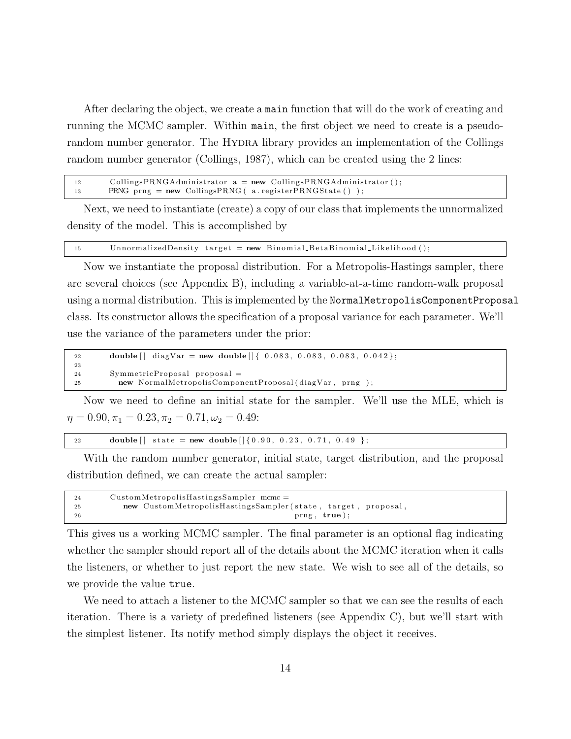After declaring the object, we create a main function that will do the work of creating and running the MCMC sampler. Within main, the first object we need to create is a pseudorandom number generator. The HYDRA library provides an implementation of the Collings random number generator (Collings, 1987), which can be created using the 2 lines:

```
12 CollingsPRNGAdministrator a = new CollingsPRNGAdministrator();
13 PRNG prng = new CollingsPRNG ( a. registerPRNGState () );
```
Next, we need to instantiate (create) a copy of our class that implements the unnormalized density of the model. This is accomplished by

15 UnnormalizedDensity target = new Binomial\_BetaBinomial\_Likelihood();

Now we instantiate the proposal distribution. For a Metropolis-Hastings sampler, there are several choices (see Appendix B), including a variable-at-a-time random-walk proposal using a normal distribution. This is implemented by the NormalMetropolisComponentProposal class. Its constructor allows the specification of a proposal variance for each parameter. We'll use the variance of the parameters under the prior:

```
22 double \begin{bmatrix} \end{bmatrix} diagVar = new double \begin{bmatrix} \end{bmatrix} { 0.083, 0.083, 0.083, 0.042 };
23
24 SymmetricProposal proposal =
25 new NormalMetropolisComponentProposal ( diagVar , prng ) ;
```
Now we need to define an initial state for the sampler. We'll use the MLE, which is  $\eta = 0.90, \pi_1 = 0.23, \pi_2 = 0.71, \omega_2 = 0.49:$ 

```
22 double [] state = new double [ [ {0.90, 0.23, 0.71, 0.49 };
```
With the random number generator, initial state, target distribution, and the proposal distribution defined, we can create the actual sampler:

| 24 | $CustomMetropolis HastingsSampler$ mcmc =                    |
|----|--------------------------------------------------------------|
| 25 | new CustomMetropolisHastingsSampler(state, target, proposal, |
| 26 | prng, true);                                                 |

This gives us a working MCMC sampler. The final parameter is an optional flag indicating whether the sampler should report all of the details about the MCMC iteration when it calls the listeners, or whether to just report the new state. We wish to see all of the details, so we provide the value true.

We need to attach a listener to the MCMC sampler so that we can see the results of each iteration. There is a variety of predefined listeners (see Appendix C), but we'll start with the simplest listener. Its notify method simply displays the object it receives.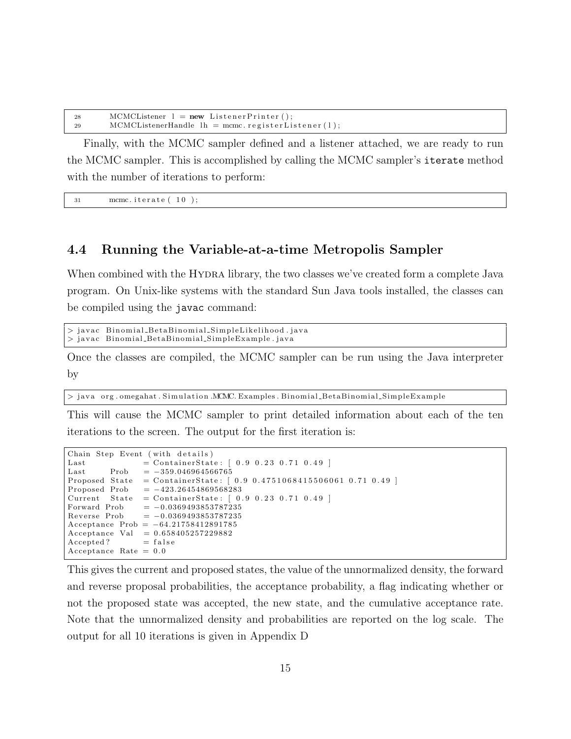| 28 | $MCMCL$ istener $l = new ListenerPrinter()$ ;          |
|----|--------------------------------------------------------|
| 29 | $MCMCL$ istenerHandle $lh =$ mcmc.registerListener(1); |

Finally, with the MCMC sampler defined and a listener attached, we are ready to run the MCMC sampler. This is accomplished by calling the MCMC sampler's iterate method with the number of iterations to perform:

 $31$  mcmc. iterate  $(10)$ ;

#### 4.4 Running the Variable-at-a-time Metropolis Sampler

When combined with the HYDRA library, the two classes we've created form a complete Java program. On Unix-like systems with the standard Sun Java tools installed, the classes can be compiled using the javac command:

 $>$  javac Binomial BetaBinomial SimpleLikelihood . java > javac Binomial BetaBinomial SimpleExample.java

Once the classes are compiled, the MCMC sampler can be run using the Java interpreter by

 $>$  java org . omegahat . Simulation .MCMC. Examples . Binomial BetaBinomial SimpleExample

This will cause the MCMC sampler to print detailed information about each of the ten iterations to the screen. The output for the first iteration is:

```
Chain Step Event (with details)
Last = ContainerState: [ 0.9 0.23 0.71 0.49 ]Last Prob = -359.046964566765Proposed State = ContainerState: [0.9 \ 0.4751068415506061 \ 0.71 \ 0.49]Proposed Prob = -423.26454869568283<br>Current State = ContainerState: [0.
                = Container State: [ 0.9 \ 0.23 \ 0.71 \ 0.49 ]Forward Prob = -0.0369493853787235Reverse Prob = -0.0369493853787235Acceptance Prob = -64.21758412891785Acceptance Val = 0.658405257229882Accepted? = falseAcceptance Rate = 0.0
```
This gives the current and proposed states, the value of the unnormalized density, the forward and reverse proposal probabilities, the acceptance probability, a flag indicating whether or not the proposed state was accepted, the new state, and the cumulative acceptance rate. Note that the unnormalized density and probabilities are reported on the log scale. The output for all 10 iterations is given in Appendix D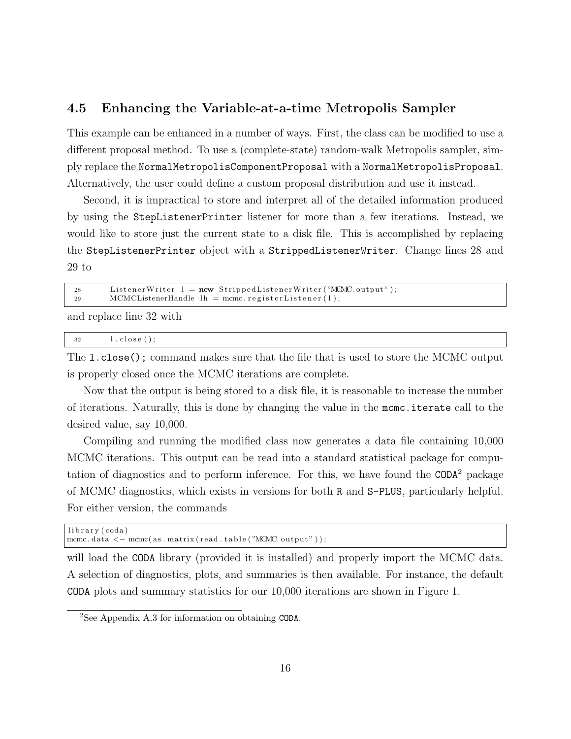#### 4.5 Enhancing the Variable-at-a-time Metropolis Sampler

This example can be enhanced in a number of ways. First, the class can be modified to use a different proposal method. To use a (complete-state) random-walk Metropolis sampler, simply replace the NormalMetropolisComponentProposal with a NormalMetropolisProposal. Alternatively, the user could define a custom proposal distribution and use it instead.

Second, it is impractical to store and interpret all of the detailed information produced by using the StepListenerPrinter listener for more than a few iterations. Instead, we would like to store just the current state to a disk file. This is accomplished by replacing the StepListenerPrinter object with a StrippedListenerWriter. Change lines 28 and 29 to

| 28 | ListenerWriter $l = new$ StrippedListenerWriter ("MCMC output"); |
|----|------------------------------------------------------------------|
| 29 | $MCMCL$ istenerHandle $lh = memc.$ registerListener(1);          |
|    | and realess line 20 with                                         |

and replace line 32 with

| 32<br>$\sim$<br>1.0105C |
|-------------------------|
|-------------------------|

The l.close(); command makes sure that the file that is used to store the MCMC output is properly closed once the MCMC iterations are complete.

Now that the output is being stored to a disk file, it is reasonable to increase the number of iterations. Naturally, this is done by changing the value in the mcmc.iterate call to the desired value, say 10,000.

Compiling and running the modified class now generates a data file containing 10,000 MCMC iterations. This output can be read into a standard statistical package for computation of diagnostics and to perform inference. For this, we have found the  $\texttt{CDDA}^2$  package of MCMC diagnostics, which exists in versions for both R and S-PLUS, particularly helpful. For either version, the commands

```
library (coda)
mcmc. data \langle -\text{mcmc}(\text{as matrix}(\text{read table}(\text{``MCMC output''}));
```
will load the CODA library (provided it is installed) and properly import the MCMC data. A selection of diagnostics, plots, and summaries is then available. For instance, the default CODA plots and summary statistics for our 10,000 iterations are shown in Figure 1.

<sup>2</sup>See Appendix A.3 for information on obtaining CODA.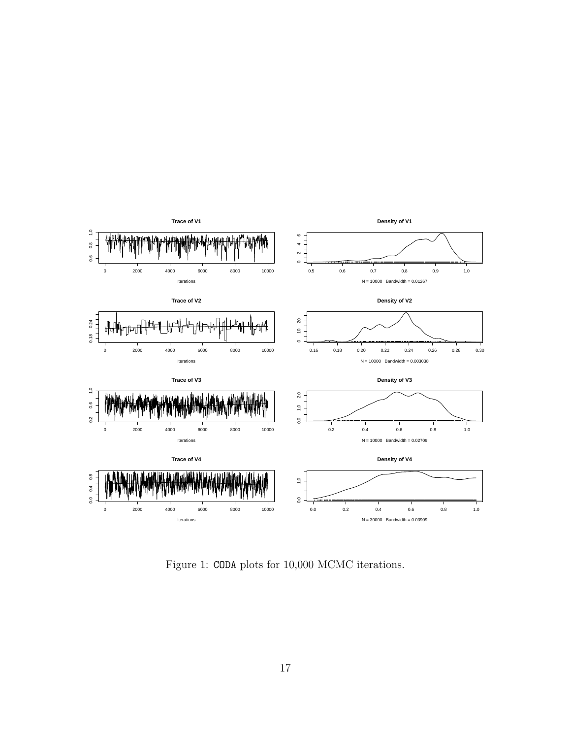

Figure 1: CODA plots for 10,000 MCMC iterations.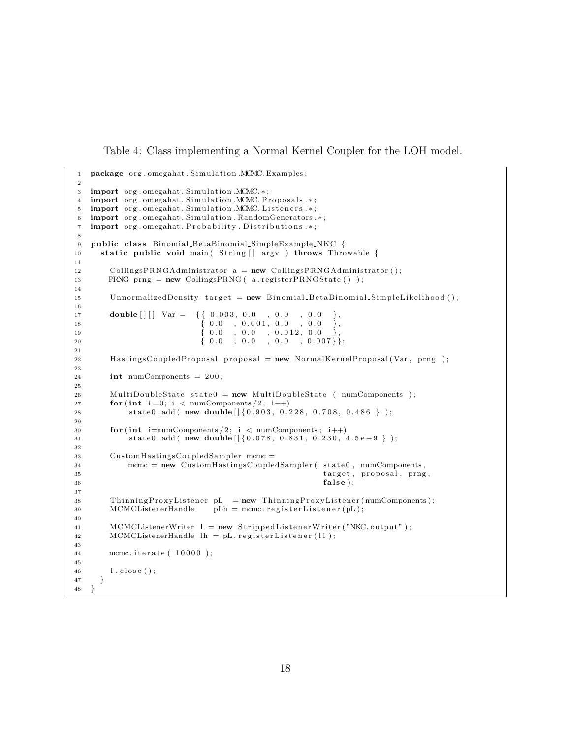Table 4: Class implementing a Normal Kernel Coupler for the LOH model.

```
1 package org.omegahat. Simulation .MCMC. Examples;
2
3 import org.omegahat. Simulation .MCMC.*;
4 import org. omegahat. Simulation .MCMC. Proposals .*;
5 import org.omegahat. Simulation .MCMC. Listeners .*;
6 import org.omegahat. Simulation. RandomGenerators.*;
7 import org.omegahat. Probability. Distributions.*;
8
9 public class Binomial BetaBinomial SimpleExample NKC {
10 static public void main (String | argv ) throws Throwable {
11
12 CollingsPRNGAdministrator a = new CollingsPRNGAdministrator ();
13 PRNG prng = new CollingsPRNG ( a . registerPRNGState ( ) );
14
15 UnnormalizedDensity target = new Binomial_BetaBinomial_SimpleLikelihood ();
16
17 double \begin{bmatrix} | & | \end{bmatrix} Var = { { 0.003, 0.0 , 0.0 , 0.0 },
18 (0.0, 0.001, 0.0, 0.00)\begin{array}{cccc} 19 & 0 & 0 \\ 0.0 & 0.0 & 0.012, 0.0 \end{array}\{ 0.0 \quad , \; 0.0 \quad , \; 0.0 \quad , \; 0.007 \} \};21
22 HastingsCoupledProposal proposal = new NormalKernelProposal (Var, prng);
23
24 int numComponents = 200;
25
26 MultiDoubleState state 0 = new MultiDoubleState (numComponents);
27 for (int i=0; i < numComponents / 2; i++)
28 state0.add ( new double \left[ \{0.903, 0.228, 0.708, 0.486 \} \right) ;
29
30 for (int i=numComponents / 2; i < numComponents; i++)
31 state0.add ( new double [ { 0.078, 0.831, 0.230, 4.5 e − 9 } );
32
33 CustomHastingsCoupledSampler mcmc =
34 mcmc = new CustomHastingsCoupledSampler (state0, numComponents,
35 target, proposal, prng,
36 false);
37
38 ThinningProxyListener pL = new ThinningProxyListener (numComponents);
39 MCMCListenerHandle pLh = mcmc. registerListener (pL);
40
41 MCMCListenerWriter l = new Stripped Listener Writer ("NKC. output");
42 MCMCListenerHandle lh = pL. registerListener (11);
43
44 mcmc. iterate ( 10000 );
45
46 1. close ();
47 }
48 }
```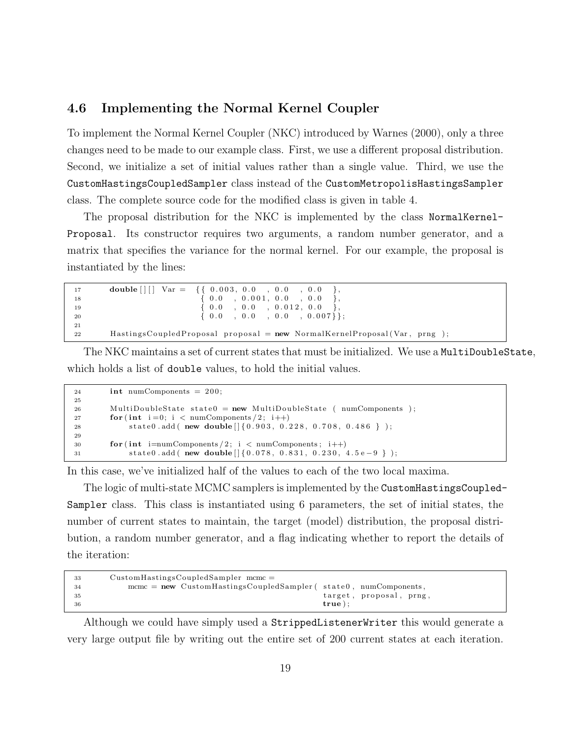#### 4.6 Implementing the Normal Kernel Coupler

To implement the Normal Kernel Coupler (NKC) introduced by Warnes (2000), only a three changes need to be made to our example class. First, we use a different proposal distribution. Second, we initialize a set of initial values rather than a single value. Third, we use the CustomHastingsCoupledSampler class instead of the CustomMetropolisHastingsSampler class. The complete source code for the modified class is given in table 4.

The proposal distribution for the NKC is implemented by the class NormalKernel-Proposal. Its constructor requires two arguments, a random number generator, and a matrix that specifies the variance for the normal kernel. For our example, the proposal is instantiated by the lines:

```
\begin{array}{cccccc} \textbf{double} \; [ \; ] \; [ \; ] & \textbf{Var} \; = & \; \{ \{ \; 0.003, \; 0.0 \; \; , \; \; 0.0 \; \; , \; \; 0.0 \; \; , \; \; 0.0 \; \\ & \; \{ \; 0.0 \; \; , \; \; 0.001, \; \; 0.0 \; \; , \; \; 0.0 \; \; \\ \end{array}18 \{ 0.0 , 0.001 , 0.0 , 0.00 \},
19 \{ 0.0 , 0.0 , 0.0 12, 0.020 \{ 0.0 , 0.0 , 0.0 , 0.0 , 0.007 \};
21
22 HastingsCoupledProposal proposal = new NormalKernelProposal (Var, prng);
```
The NKC maintains a set of current states that must be initialized. We use a MultiDoubleState, which holds a list of double values, to hold the initial values.

```
24 int numComponents = 200;
25
26 MultiDoubleState state 0 = new MultiDoubleState (numComponents);
27 for (int i=0; i < numComponents / 2; i++)
28 state0.add ( new double [ {0.903, 0.228, 0.708, 0.486 } );
29
30 for (int \text{ i}=\text{numComponents}/2; i < \text{numComponents}; i++)31 state0.add ( new double [ {0.078, 0.831, 0.230, 4.5 e -9 } );
```
In this case, we've initialized half of the values to each of the two local maxima.

The logic of multi-state MCMC samplers is implemented by the CustomHastingsCoupled-Sampler class. This class is instantiated using 6 parameters, the set of initial states, the number of current states to maintain, the target (model) distribution, the proposal distribution, a random number generator, and a flag indicating whether to report the details of the iteration:

```
33 CustomHastingsCoupledSampler mcmc =
34 mcmc = new CustomHastingsCoupledSampler (state0, numComponents,
\text{target}, \text{ proposal}, \text{prng},36 true );
```
Although we could have simply used a StrippedListenerWriter this would generate a very large output file by writing out the entire set of 200 current states at each iteration.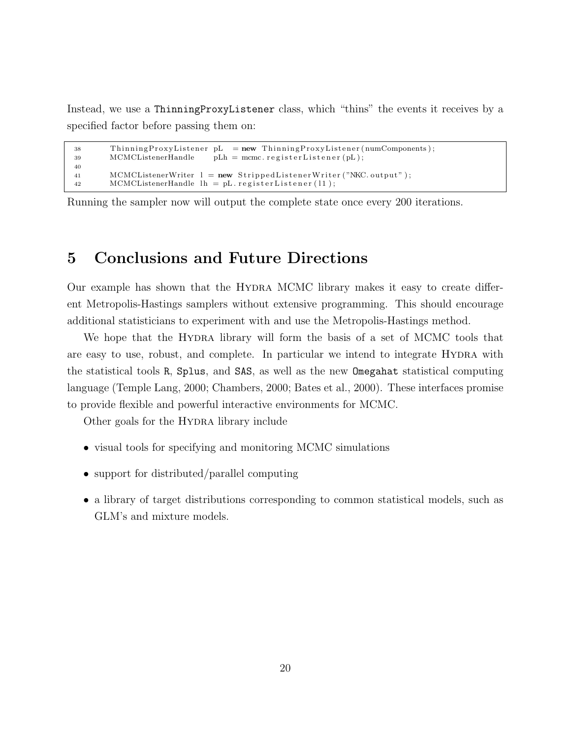Instead, we use a ThinningProxyListener class, which "thins" the events it receives by a specified factor before passing them on:

```
38 ThinningProxyListener pL = new ThinningProxyListener (numComponents);
39 MCMCListenerHandle pLh = mcmc. registerListener (pL);
40
41 MCMCListenerWriter l = new \text{StrippedListenerWriter("NKC.output");}42 MCMCListenerHandle lh = pL. registerListener (11);
```
Running the sampler now will output the complete state once every 200 iterations.

## 5 Conclusions and Future Directions

Our example has shown that the Hydra MCMC library makes it easy to create different Metropolis-Hastings samplers without extensive programming. This should encourage additional statisticians to experiment with and use the Metropolis-Hastings method.

We hope that the HYDRA library will form the basis of a set of MCMC tools that are easy to use, robust, and complete. In particular we intend to integrate Hydra with the statistical tools R, Splus, and SAS, as well as the new Omegahat statistical computing language (Temple Lang, 2000; Chambers, 2000; Bates et al., 2000). These interfaces promise to provide flexible and powerful interactive environments for MCMC.

Other goals for the HYDRA library include

- visual tools for specifying and monitoring MCMC simulations
- support for distributed/parallel computing
- a library of target distributions corresponding to common statistical models, such as GLM's and mixture models.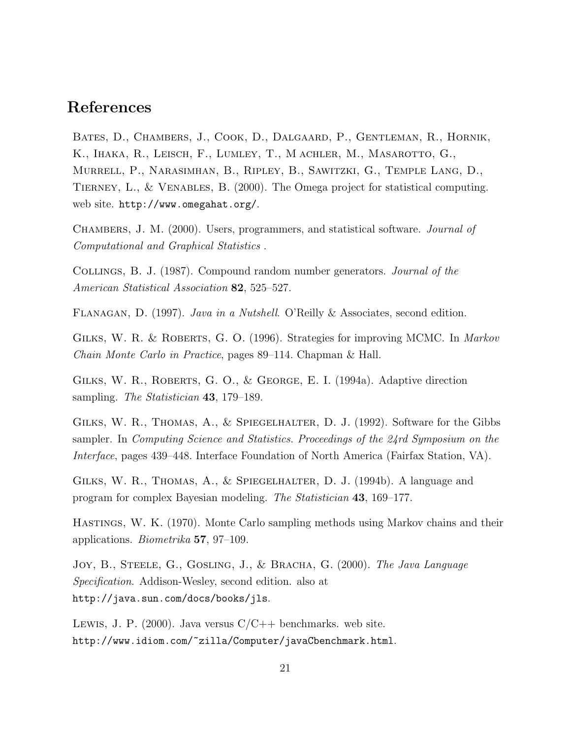## References

Bates, D., Chambers, J., Cook, D., Dalgaard, P., Gentleman, R., Hornik, K., Ihaka, R., Leisch, F., Lumley, T., M achler, M., Masarotto, G., Murrell, P., Narasimhan, B., Ripley, B., Sawitzki, G., Temple Lang, D., TIERNEY, L., & VENABLES, B. (2000). The Omega project for statistical computing. web site. http://www.omegahat.org/.

Chambers, J. M. (2000). Users, programmers, and statistical software. Journal of Computational and Graphical Statistics .

Collings, B. J. (1987). Compound random number generators. Journal of the American Statistical Association 82, 525–527.

Flanagan, D. (1997). Java in a Nutshell. O'Reilly & Associates, second edition.

Gilks, W. R. & Roberts, G. O. (1996). Strategies for improving MCMC. In Markov Chain Monte Carlo in Practice, pages 89–114. Chapman & Hall.

GILKS, W. R., ROBERTS, G. O., & GEORGE, E. I. (1994a). Adaptive direction sampling. *The Statistician* 43, 179–189.

GILKS, W. R., THOMAS, A., & SPIEGELHALTER, D. J. (1992). Software for the Gibbs sampler. In Computing Science and Statistics. Proceedings of the 24rd Symposium on the Interface, pages 439–448. Interface Foundation of North America (Fairfax Station, VA).

Gilks, W. R., Thomas, A., & Spiegelhalter, D. J. (1994b). A language and program for complex Bayesian modeling. The Statistician 43, 169–177.

Hastings, W. K. (1970). Monte Carlo sampling methods using Markov chains and their applications. Biometrika 57, 97–109.

JOY, B., STEELE, G., GOSLING, J., & BRACHA, G. (2000). The Java Language Specification. Addison-Wesley, second edition. also at http://java.sun.com/docs/books/jls.

LEWIS, J. P. (2000). Java versus  $C/C++$  benchmarks. web site. http://www.idiom.com/~zilla/Computer/javaCbenchmark.html.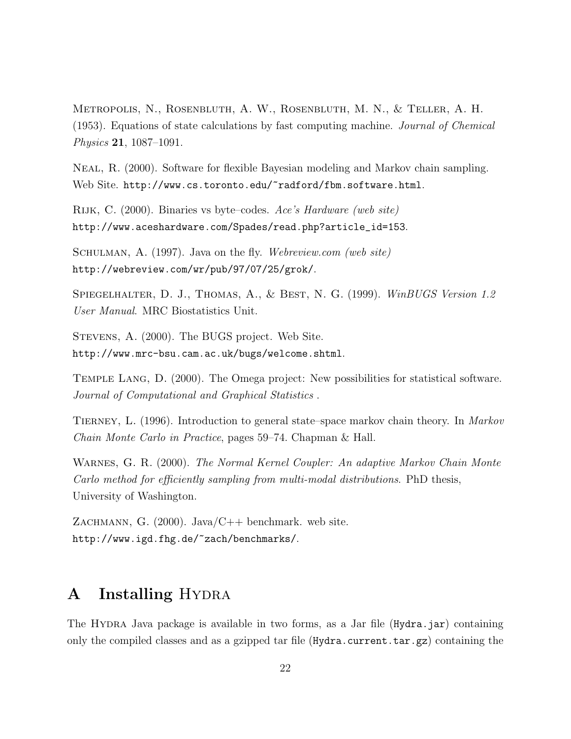Metropolis, N., Rosenbluth, A. W., Rosenbluth, M. N., & Teller, A. H. (1953). Equations of state calculations by fast computing machine. Journal of Chemical Physics 21, 1087–1091.

Neal, R. (2000). Software for flexible Bayesian modeling and Markov chain sampling. Web Site. http://www.cs.toronto.edu/~radford/fbm.software.html.

Rijk, C. (2000). Binaries vs byte–codes. Ace's Hardware (web site) http://www.aceshardware.com/Spades/read.php?article\_id=153.

SCHULMAN, A. (1997). Java on the fly. Webreview.com (web site) http://webreview.com/wr/pub/97/07/25/grok/.

SPIEGELHALTER, D. J., THOMAS, A., & BEST, N. G. (1999). WinBUGS Version 1.2 User Manual. MRC Biostatistics Unit.

Stevens, A. (2000). The BUGS project. Web Site. http://www.mrc-bsu.cam.ac.uk/bugs/welcome.shtml.

Temple Lang, D. (2000). The Omega project: New possibilities for statistical software. Journal of Computational and Graphical Statistics .

TIERNEY, L. (1996). Introduction to general state–space markov chain theory. In *Markov* Chain Monte Carlo in Practice, pages 59–74. Chapman & Hall.

Warnes, G. R. (2000). The Normal Kernel Coupler: An adaptive Markov Chain Monte Carlo method for efficiently sampling from multi-modal distributions. PhD thesis, University of Washington.

ZACHMANN, G.  $(2000)$ . Java/C++ benchmark. web site. http://www.igd.fhg.de/~zach/benchmarks/.

## A Installing HYDRA

The Hydra Java package is available in two forms, as a Jar file (Hydra.jar) containing only the compiled classes and as a gzipped tar file  $(Hydra.current.tar.gz)$  containing the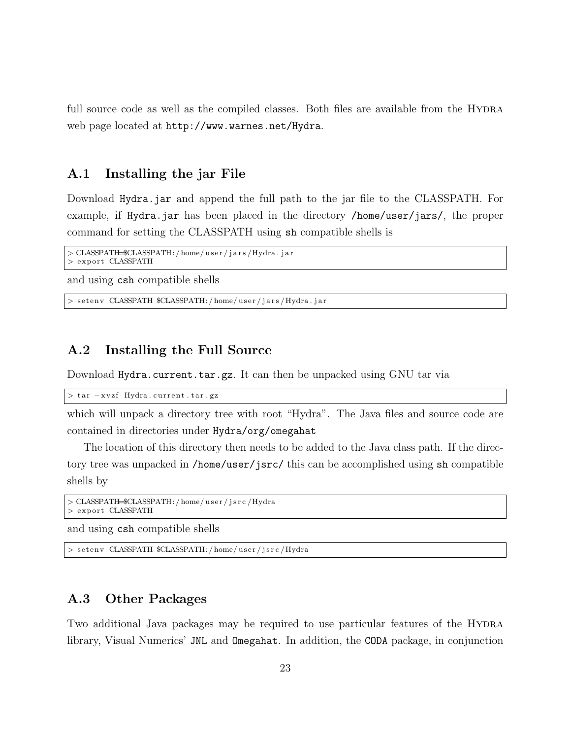full source code as well as the compiled classes. Both files are available from the HYDRA web page located at http://www.warnes.net/Hydra.

#### A.1 Installing the jar File

Download Hydra.jar and append the full path to the jar file to the CLASSPATH. For example, if Hydra.jar has been placed in the directory /home/user/jars/, the proper command for setting the CLASSPATH using sh compatible shells is

```
> CLASSPATH=$CLASSPATH: / home/ u s e r / j a r s /Hydra . j a r
  export CLASSPATH
```
and using csh compatible shells

> seteny CLASSPATH \$CLASSPATH:/home/user/jars/Hydra.jar

#### A.2 Installing the Full Source

Download Hydra.current.tar.gz. It can then be unpacked using GNU tar via

> tar -xvzf Hydra.current.tar.gz

which will unpack a directory tree with root "Hydra". The Java files and source code are contained in directories under Hydra/org/omegahat

The location of this directory then needs to be added to the Java class path. If the directory tree was unpacked in /home/user/jsrc/ this can be accomplished using sh compatible shells by

```
> CLASSPATH=$CLASSPATH:/home/user/jsrc/Hydra
> export CLASSPATH
```
and using csh compatible shells

> setenv CLASSPATH \$CLASSPATH:/home/user/jsrc/Hydra

#### A.3 Other Packages

Two additional Java packages may be required to use particular features of the HYDRA library, Visual Numerics' JNL and Omegahat. In addition, the CODA package, in conjunction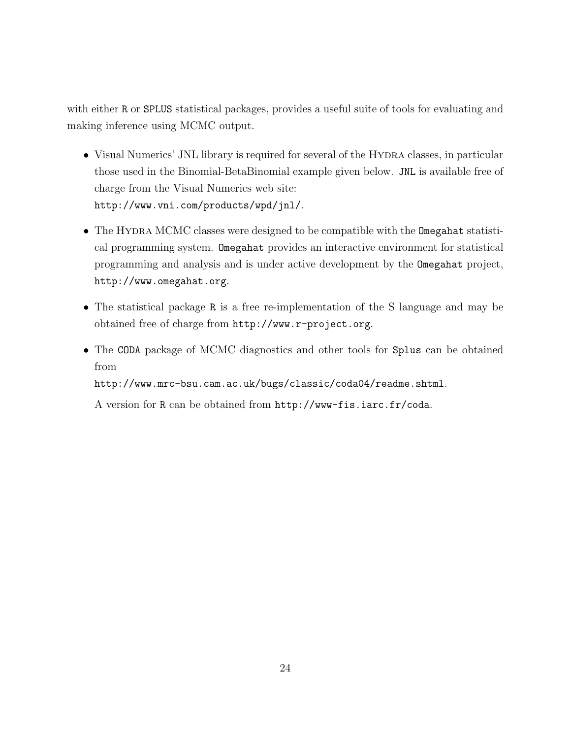with either R or SPLUS statistical packages, provides a useful suite of tools for evaluating and making inference using MCMC output.

- Visual Numerics' JNL library is required for several of the HYDRA classes, in particular those used in the Binomial-BetaBinomial example given below. JNL is available free of charge from the Visual Numerics web site: http://www.vni.com/products/wpd/jnl/.
- The HYDRA MCMC classes were designed to be compatible with the Omegahat statistical programming system. Omegahat provides an interactive environment for statistical programming and analysis and is under active development by the Omegahat project, http://www.omegahat.org.
- The statistical package R is a free re-implementation of the S language and may be obtained free of charge from http://www.r-project.org.
- The CODA package of MCMC diagnostics and other tools for Splus can be obtained from

http://www.mrc-bsu.cam.ac.uk/bugs/classic/coda04/readme.shtml.

A version for R can be obtained from http://www-fis.iarc.fr/coda.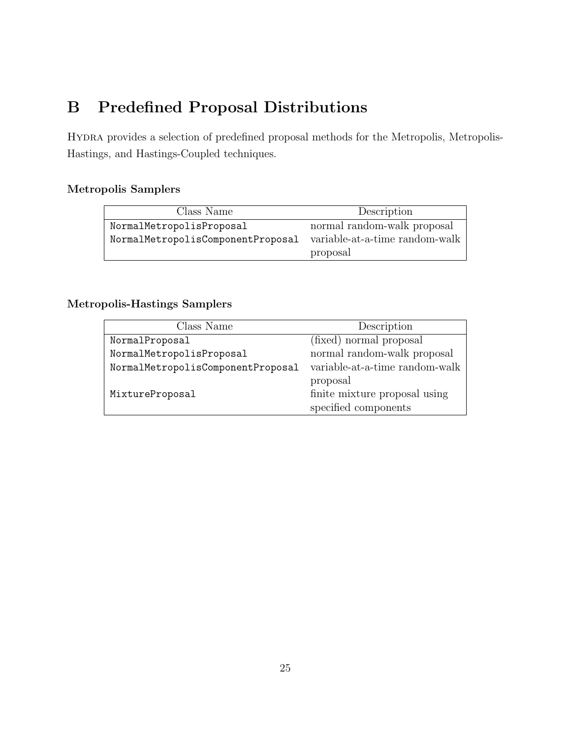# B Predefined Proposal Distributions

Hydra provides a selection of predefined proposal methods for the Metropolis, Metropolis-Hastings, and Hastings-Coupled techniques.

#### Metropolis Samplers

| Class Name                        | Description                    |
|-----------------------------------|--------------------------------|
| NormalMetropolisProposal          | normal random-walk proposal    |
| NormalMetropolisComponentProposal | variable-at-a-time random-walk |
|                                   | proposal                       |

#### Metropolis-Hastings Samplers

| Class Name                        | Description                    |
|-----------------------------------|--------------------------------|
| NormalProposal                    | (fixed) normal proposal        |
| NormalMetropolisProposal          | normal random-walk proposal    |
| NormalMetropolisComponentProposal | variable-at-a-time random-walk |
|                                   | proposal                       |
| MixtureProposal                   | finite mixture proposal using  |
|                                   | specified components           |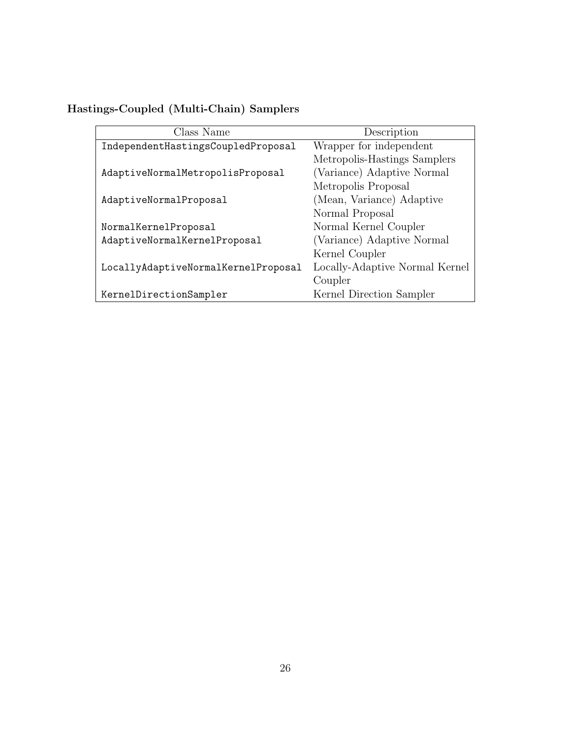| Class Name                          | Description                    |
|-------------------------------------|--------------------------------|
| IndependentHastingsCoupledProposal  | Wrapper for independent        |
|                                     | Metropolis-Hastings Samplers   |
| AdaptiveNormalMetropolisProposal    | (Variance) Adaptive Normal     |
|                                     | Metropolis Proposal            |
| AdaptiveNormalProposal              | (Mean, Variance) Adaptive      |
|                                     | Normal Proposal                |
| NormalKernelProposal                | Normal Kernel Coupler          |
| AdaptiveNormalKernelProposal        | (Variance) Adaptive Normal     |
|                                     | Kernel Coupler                 |
| LocallyAdaptiveNormalKernelProposal | Locally-Adaptive Normal Kernel |
|                                     | Coupler                        |
| KernelDirectionSampler              | Kernel Direction Sampler       |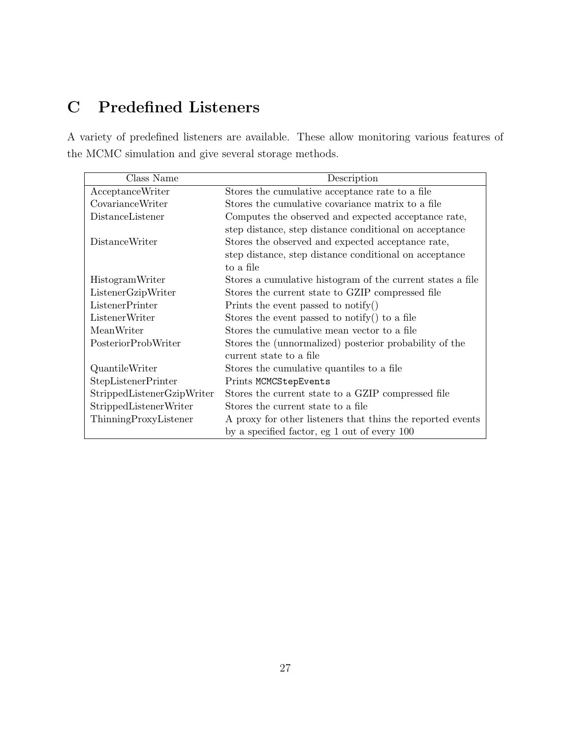# C Predefined Listeners

A variety of predefined listeners are available. These allow monitoring various features of the MCMC simulation and give several storage methods.

| Class Name                 | Description                                                |
|----------------------------|------------------------------------------------------------|
| AcceptanceWriter           | Stores the cumulative acceptance rate to a file            |
| CovarianceWriter           | Stores the cumulative covariance matrix to a file          |
| DistanceListener           | Computes the observed and expected acceptance rate,        |
|                            | step distance, step distance conditional on acceptance     |
| <b>DistanceWriter</b>      | Stores the observed and expected acceptance rate,          |
|                            | step distance, step distance conditional on acceptance     |
|                            | to a file                                                  |
| HistogramWriter            | Stores a cumulative histogram of the current states a file |
| ListenerGzipWriter         | Stores the current state to GZIP compressed file           |
| ListenerPrinter            | Prints the event passed to notify $()$                     |
| ListenerWriter             | Stores the event passed to notify() to a file              |
| MeanWriter                 | Stores the cumulative mean vector to a file                |
| PosteriorProbWriter        | Stores the (unnormalized) posterior probability of the     |
|                            | current state to a file                                    |
| QuantileWriter             | Stores the cumulative quantiles to a file                  |
| <b>StepListenerPrinter</b> | Prints MCMCStepEvents                                      |
| StrippedListenerGzipWriter | Stores the current state to a GZIP compressed file         |
| StrippedListenerWriter     | Stores the current state to a file                         |
| ThinningProxyListener      | A proxy for other listeners that thins the reported events |
|                            | by a specified factor, eg 1 out of every 100               |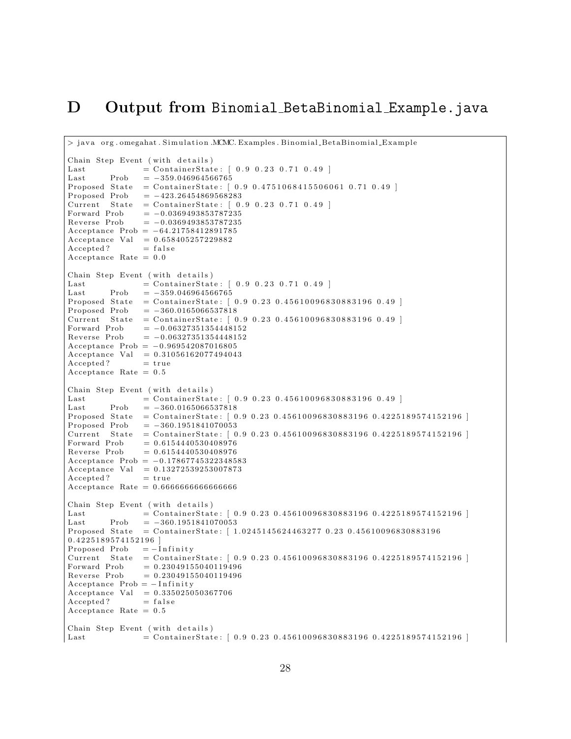#### D Output from Binomial BetaBinomial Example.java

```
> java org. omegahat. Simulation .MCMC. Examples. Binomial BetaBinomial Example
Chain Step Event (with details)
Last = ContainerState: [ 0.9 0.23 0.71 0.49 ]Last Prob = -359.046964566765Proposed State = ContainerState: [0.9 0.4751068415506061 0.71 0.49 ]<br>Proposed Prob = -423.26454869568283Current State = ContainerState: [ 0.9 0.23 0.71 0.49 ]Forward Prob = -0.0369493853787235Reverse Prob = -0.0369493853787235Acceptance Prob = -64.21758412891785Acceptance Val = 0.658405257229882Accepted ? = false
Acceptance Rate = 0. 0
Chain Step Event (with details)
Last = ContainerState: [ 0.9 0.23 0.71 0.49 ]Last Prob = -359.046964566765Proposed\ State\ =\ ContainerState:\ [\ 0.9\ 0.23\ 0.45610096830883196\ 0.49\ ]Proposed Prob = -360.0165066537818Current State = ContainerState: [ 0.9 0.23 0.45610096830883196 0.49 ]Forward Prob = -0.06327351354448152Reverse Prob = -0.06327351354448152Acceptance Prob = -0.969542087016805Acceptance Val = 0.31056162077494043Accepted ? = true
Acceptance Rate = 0.5Chain Step Event (with details)
La s t = C o n t ai n e r S t a t e : [ 0 . 9 0 . 2 3 0 . 4 5 6 1 0 0 9 6 8 3 0 8 8 3 1 9 6 0 . 4 9 ]
Last Prob = -360.0165066537818Proposed State = ContainerState: [0.9 0.23 0.45610096830883196 0.4225189574152196 ]
Proposed Prob = −360.1951841070053
Current State = ContainerState: [0.9 0.23 0.45610096830883196 0.4225189574152196 ]<br>Forward Prob = 0.6154440530408976
Forward Prob = 0.6154440530408976<br>Reverse Prob = 0.6154440530408976= 0.6154440530408976Acceptance Prob = -0.17867745322348583\text{Acceptance Val} = 0.13272539253007873<br>Accepted? = true
Accepted ?
Acceptance Rate = 0. 6 6 6 6 6 6 6 6 6 6 6 6 6 6 6 6
Chain Step Event (with details)
Last = Container State: [0.9 \ 0.23 \ 0.45610096830883196 \ 0.4225189574152196]Last Prob = -360.1951841070053Proposed State = ContainerState: [1.0245145624463277 0.23 0.45610096830883196
0. 4 2 2 5 1 8 9 5 7 4 1 5 2 1 9 6 ]
Proposed Prob = -Infinity
Current State = ContainerState: [0.9 \ 0.23 \ 0.45610096830883196 \ 0.4225189574152196]<br>Forward Prob = 0.23049155040119496= 0.23049155040119496Reverse Prob = 0.23049155040119496Acceptance Prob = -InfiniteAcceptance Val = 0.335025050367706Accepted ? = falseAcceptance Rate = 0.5Chain Step Event (with details)
\emph{Last} \qquad \qquad = \emph{ContainerState:} \ [ \ 0.9 \ 0.23 \ 0.45610096830883196 \ 0.4225189574152196 \ ]
```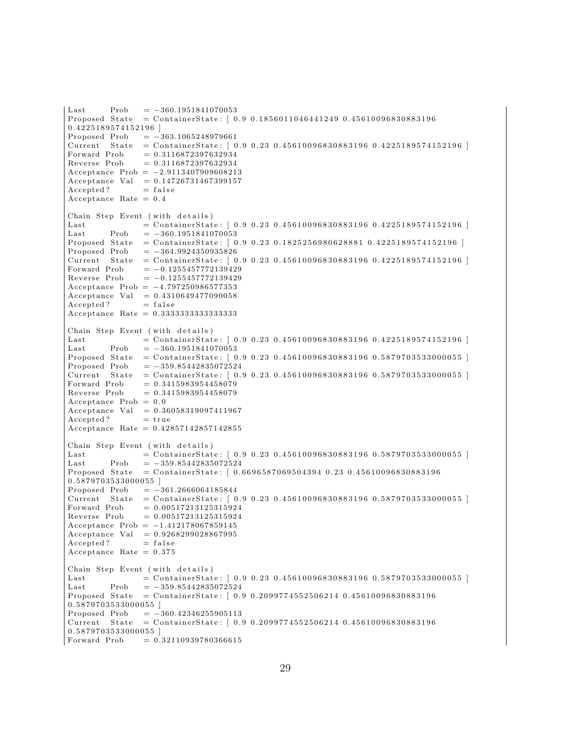```
Last Prob = -360.1951841070053Proposed State = ContainerState: [0.9 0.1856011046441249 0.456100968308831960. 4 2 2 5 1 8 9 5 7 4 1 5 2 1 9 6 ]
Proposed Prob = -363.1065248979661Current State = ContainerState: [0.9 \ 0.23 \ 0.45610096830883196 \ 0.4225189574152196]Forward Prob = 0.3116872397632934<br>Reverse Prob = 0.3116872397632934= 0.3 1 1 6 8 7 2 3 9 7 6 3 2 9 3 4Acceptance Prob = -2.9113407909608213Acceptance Val = 0.14726731467399157Accepted ? = falseAcceptance Rate = 0. 4
Chain Step Event (with details)
Last = Container State : [0.9 \ 0.23 \ 0.45610096830883196 \ 0.4225189574152196]Last Prob = -360.1951841070053Proposed State = ContainerState: [0.9 0.23 0.1825256980628881 0.4225189574152196 ]
Proposed Prob = -364.9924350935826\text{Current} \quad \text{State} \quad = \text{ContainerState}: \left[ \begin{array}{c} 0.9 \,\, 0.23 \,\, 0.45610096830883196 \,\, 0.4225189574152196 \end{array} \right]Forward Prob = -0.1255457772139429Reverse Prob = -0.1255457772139429Acceptance Prob = -4.797250986577353Acceptance Val = 0.4310649477090058Accepted? = falseAcceptance Rate = 0.3333333333333333Chain Step Event (with details)
Last = Container State : [0.9 \ 0.23 \ 0.45610096830883196 \ 0.4225189574152196]Last Prob = -360.1951841070053Proposed State = ContainerState: [0.9 \ 0.23 \ 0.45610096830883196 \ 0.5879703533000055]Proposed Prob = -359.85442835072524Current State = ContainerState: [0.9 0.23 0.45610096830883196 0.5879703533000055 ]
Forward Prob = 0.3415983954458079Reverse Prob = 0.3415983954458079Acceptance Prob = 0.0Acceptance Val = 0.36058319097411967Accepted? = trueAcceptance Rate = 0.42857142857142855Chain Step Event (with details)
Last = Container State: [0.9 \ 0.23 \ 0.45610096830883196 \ 0.5879703533000055]Last Prob = -359.85442835072524Proposed State = ContainerState: [0.6696587069504394 \ 0.23 \ 0.456100968308831960. 5 8 7 9 7 0 3 5 3 3 0 0 0 0 5 5 ]
Proposed Prob = -361.2666064185844Current State = ContainerState: [ 0.9 0.23 0.45610096830883196 0.5879703533000055 ]Forward Prob = 0.00517213125315924Reverse Prob = 0.00517213125315924Acceptance Prob = -1.412178067859145\text{Acceptance Val} = 0.9268299028867995<br>Accepted? = false
Accepted ?
Acceptance Rate = 0.375Chain Step Event (with details)
Last = Container State: [0.9 \ 0.23 \ 0.45610096830883196 \ 0.5879703533000055]Last Prob = -359.85442835072524Proposed State = ContainerState: [0.9 0.2099774552506214 0.456100968308831960. 5 8 7 9 7 0 3 5 3 3 0 0 0 0 5 5 ]
Proposed Prob = -360.42346255905113Current State = ContainerState: [0.9 0.2099774552506214 0.456100968308831960. 5 8 7 9 7 0 3 5 3 3 0 0 0 0 5 5 ]
Forward Prob = 0.32110939780366615
```